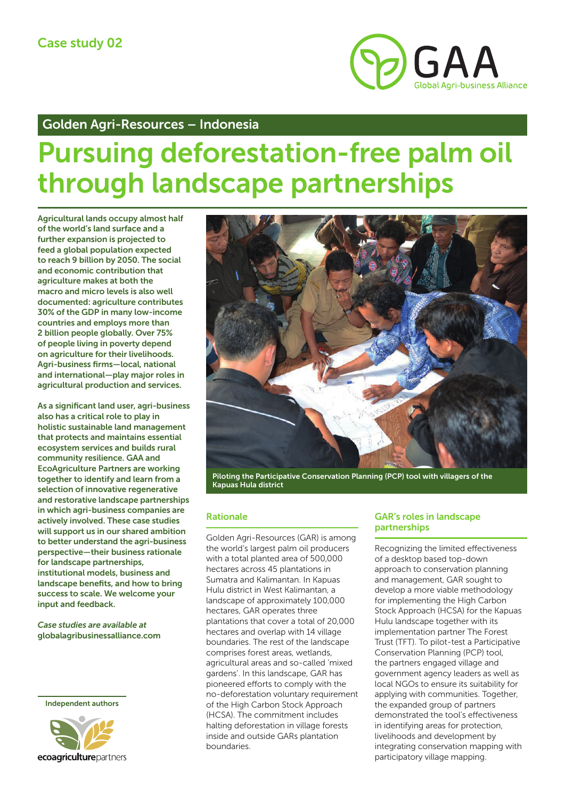

# Golden Agri-Resources – Indonesia

# Pursuing deforestation-free palm oil through landscape partnerships

Agricultural lands occupy almost half of the world's land surface and a further expansion is projected to feed a global population expected to reach 9 billion by 2050. The social and economic contribution that agriculture makes at both the macro and micro levels is also well documented: agriculture contributes 30% of the GDP in many low-income countries and employs more than 2 billion people globally. Over 75% of people living in poverty depend on agriculture for their livelihoods. Agri-business firms—local, national and international—play major roles in agricultural production and services.

As a significant land user, agri-business also has a critical role to play in holistic sustainable land management that protects and maintains essential ecosystem services and builds rural community resilience. GAA and EcoAgriculture Partners are working together to identify and learn from a selection of innovative regenerative and restorative landscape partnerships in which agri-business companies are actively involved. These case studies will support us in our shared ambition to better understand the agri-business perspective—their business rationale for landscape partnerships, institutional models, business and landscape benefits, and how to bring success to scale. We welcome your input and feedback.

*Case studies are available at* [globalagribusinessalliance.com](https://globalagribusinessalliance.com)

Independent authors





Piloting the Participative Conservation Planning (PCP) tool with villagers of the Kapuas Hula district

# Rationale

Golden Agri-Resources (GAR) is among the world's largest palm oil producers with a total planted area of 500,000 hectares across 45 plantations in Sumatra and Kalimantan. In Kapuas Hulu district in West Kalimantan, a landscape of approximately 100,000 hectares, GAR operates three plantations that cover a total of 20,000 hectares and overlap with 14 village boundaries. The rest of the landscape comprises forest areas, wetlands, agricultural areas and so-called 'mixed gardens'. In this landscape, GAR has pioneered efforts to comply with the no-deforestation voluntary requirement of the High Carbon Stock Approach (HCSA). The commitment includes halting deforestation in village forests inside and outside GARs plantation boundaries.

## GAR's roles in landscape partnerships

Recognizing the limited effectiveness of a desktop based top-down approach to conservation planning and management, GAR sought to develop a more viable methodology for implementing the High Carbon Stock Approach (HCSA) for the Kapuas Hulu landscape together with its implementation partner The Forest Trust (TFT). To pilot-test a Participative Conservation Planning (PCP) tool, the partners engaged village and government agency leaders as well as local NGOs to ensure its suitability for applying with communities. Together, the expanded group of partners demonstrated the tool's effectiveness in identifying areas for protection, livelihoods and development by integrating conservation mapping with participatory village mapping.